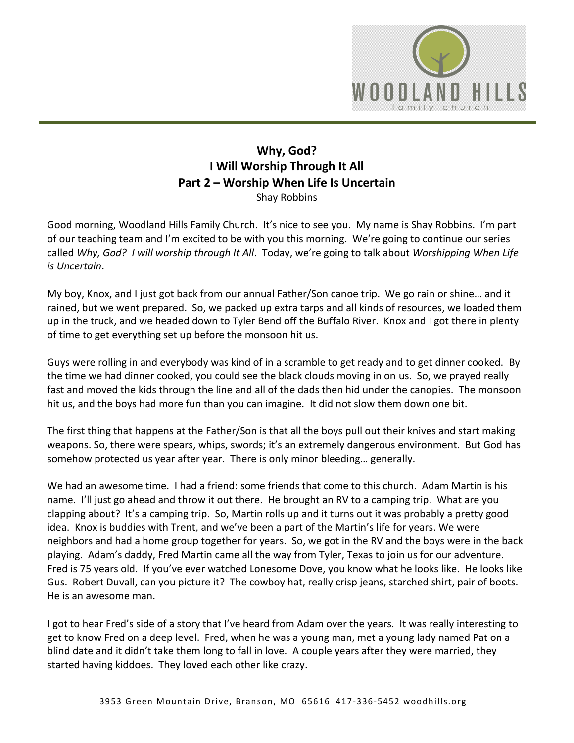

# **Why, God? I Will Worship Through It All Part 2 – Worship When Life Is Uncertain**  Shay Robbins

Good morning, Woodland Hills Family Church. It's nice to see you. My name is Shay Robbins. I'm part of our teaching team and I'm excited to be with you this morning. We're going to continue our series called *Why, God? I will worship through It All*. Today, we're going to talk about *Worshipping When Life is Uncertain*.

My boy, Knox, and I just got back from our annual Father/Son canoe trip. We go rain or shine… and it rained, but we went prepared. So, we packed up extra tarps and all kinds of resources, we loaded them up in the truck, and we headed down to Tyler Bend off the Buffalo River. Knox and I got there in plenty of time to get everything set up before the monsoon hit us.

Guys were rolling in and everybody was kind of in a scramble to get ready and to get dinner cooked. By the time we had dinner cooked, you could see the black clouds moving in on us. So, we prayed really fast and moved the kids through the line and all of the dads then hid under the canopies. The monsoon hit us, and the boys had more fun than you can imagine. It did not slow them down one bit.

The first thing that happens at the Father/Son is that all the boys pull out their knives and start making weapons. So, there were spears, whips, swords; it's an extremely dangerous environment. But God has somehow protected us year after year. There is only minor bleeding… generally.

We had an awesome time. I had a friend: some friends that come to this church. Adam Martin is his name. I'll just go ahead and throw it out there. He brought an RV to a camping trip. What are you clapping about? It's a camping trip. So, Martin rolls up and it turns out it was probably a pretty good idea. Knox is buddies with Trent, and we've been a part of the Martin's life for years. We were neighbors and had a home group together for years. So, we got in the RV and the boys were in the back playing. Adam's daddy, Fred Martin came all the way from Tyler, Texas to join us for our adventure. Fred is 75 years old. If you've ever watched Lonesome Dove, you know what he looks like. He looks like Gus. Robert Duvall, can you picture it? The cowboy hat, really crisp jeans, starched shirt, pair of boots. He is an awesome man.

I got to hear Fred's side of a story that I've heard from Adam over the years. It was really interesting to get to know Fred on a deep level. Fred, when he was a young man, met a young lady named Pat on a blind date and it didn't take them long to fall in love. A couple years after they were married, they started having kiddoes. They loved each other like crazy.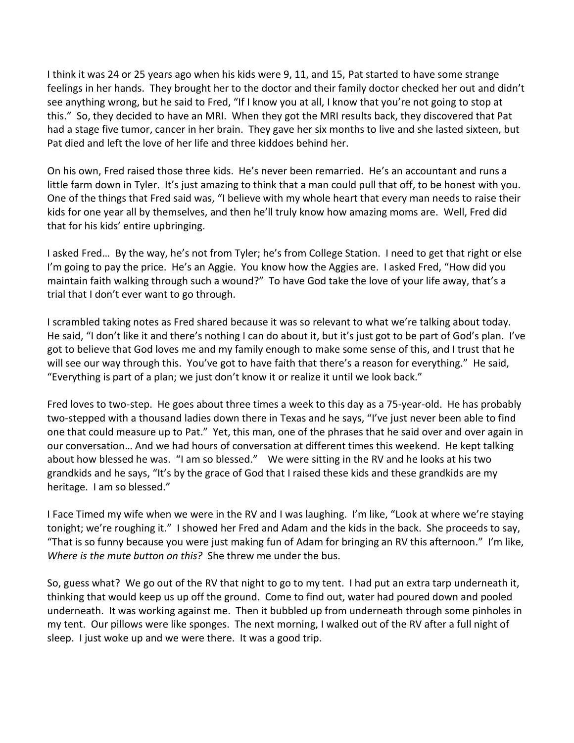I think it was 24 or 25 years ago when his kids were 9, 11, and 15, Pat started to have some strange feelings in her hands. They brought her to the doctor and their family doctor checked her out and didn't see anything wrong, but he said to Fred, "If I know you at all, I know that you're not going to stop at this." So, they decided to have an MRI. When they got the MRI results back, they discovered that Pat had a stage five tumor, cancer in her brain. They gave her six months to live and she lasted sixteen, but Pat died and left the love of her life and three kiddoes behind her.

On his own, Fred raised those three kids. He's never been remarried. He's an accountant and runs a little farm down in Tyler. It's just amazing to think that a man could pull that off, to be honest with you. One of the things that Fred said was, "I believe with my whole heart that every man needs to raise their kids for one year all by themselves, and then he'll truly know how amazing moms are. Well, Fred did that for his kids' entire upbringing.

I asked Fred… By the way, he's not from Tyler; he's from College Station. I need to get that right or else I'm going to pay the price. He's an Aggie. You know how the Aggies are. I asked Fred, "How did you maintain faith walking through such a wound?" To have God take the love of your life away, that's a trial that I don't ever want to go through.

I scrambled taking notes as Fred shared because it was so relevant to what we're talking about today. He said, "I don't like it and there's nothing I can do about it, but it's just got to be part of God's plan. I've got to believe that God loves me and my family enough to make some sense of this, and I trust that he will see our way through this. You've got to have faith that there's a reason for everything." He said, "Everything is part of a plan; we just don't know it or realize it until we look back."

Fred loves to two-step. He goes about three times a week to this day as a 75-year-old. He has probably two-stepped with a thousand ladies down there in Texas and he says, "I've just never been able to find one that could measure up to Pat." Yet, this man, one of the phrases that he said over and over again in our conversation… And we had hours of conversation at different times this weekend. He kept talking about how blessed he was. "I am so blessed." We were sitting in the RV and he looks at his two grandkids and he says, "It's by the grace of God that I raised these kids and these grandkids are my heritage. I am so blessed."

I Face Timed my wife when we were in the RV and I was laughing. I'm like, "Look at where we're staying tonight; we're roughing it." I showed her Fred and Adam and the kids in the back. She proceeds to say, "That is so funny because you were just making fun of Adam for bringing an RV this afternoon." I'm like, *Where is the mute button on this?* She threw me under the bus.

So, guess what? We go out of the RV that night to go to my tent. I had put an extra tarp underneath it, thinking that would keep us up off the ground. Come to find out, water had poured down and pooled underneath. It was working against me. Then it bubbled up from underneath through some pinholes in my tent. Our pillows were like sponges. The next morning, I walked out of the RV after a full night of sleep. I just woke up and we were there. It was a good trip.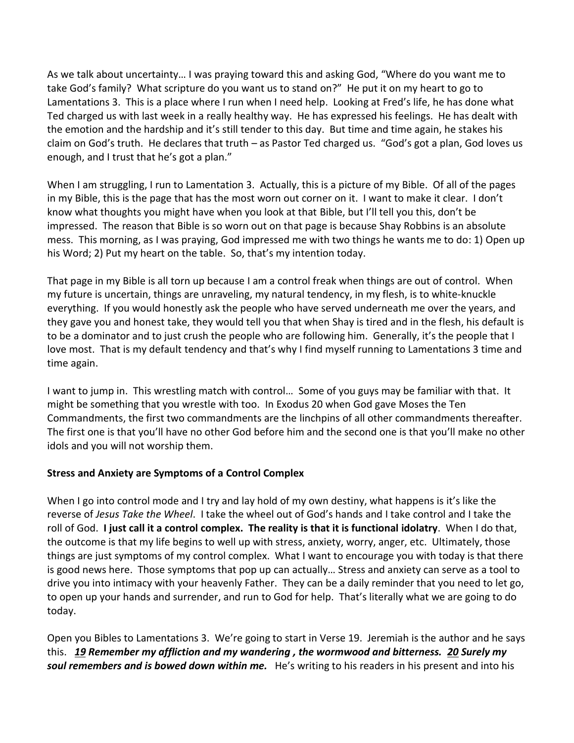As we talk about uncertainty… I was praying toward this and asking God, "Where do you want me to take God's family? What scripture do you want us to stand on?" He put it on my heart to go to Lamentations 3. This is a place where I run when I need help. Looking at Fred's life, he has done what Ted charged us with last week in a really healthy way. He has expressed his feelings. He has dealt with the emotion and the hardship and it's still tender to this day. But time and time again, he stakes his claim on God's truth. He declares that truth – as Pastor Ted charged us. "God's got a plan, God loves us enough, and I trust that he's got a plan."

When I am struggling, I run to Lamentation 3. Actually, this is a picture of my Bible. Of all of the pages in my Bible, this is the page that has the most worn out corner on it. I want to make it clear. I don't know what thoughts you might have when you look at that Bible, but I'll tell you this, don't be impressed. The reason that Bible is so worn out on that page is because Shay Robbins is an absolute mess. This morning, as I was praying, God impressed me with two things he wants me to do: 1) Open up his Word; 2) Put my heart on the table. So, that's my intention today.

That page in my Bible is all torn up because I am a control freak when things are out of control. When my future is uncertain, things are unraveling, my natural tendency, in my flesh, is to white-knuckle everything. If you would honestly ask the people who have served underneath me over the years, and they gave you and honest take, they would tell you that when Shay is tired and in the flesh, his default is to be a dominator and to just crush the people who are following him. Generally, it's the people that I love most. That is my default tendency and that's why I find myself running to Lamentations 3 time and time again.

I want to jump in. This wrestling match with control… Some of you guys may be familiar with that. It might be something that you wrestle with too. In Exodus 20 when God gave Moses the Ten Commandments, the first two commandments are the linchpins of all other commandments thereafter. The first one is that you'll have no other God before him and the second one is that you'll make no other idols and you will not worship them.

### **Stress and Anxiety are Symptoms of a Control Complex**

When I go into control mode and I try and lay hold of my own destiny, what happens is it's like the reverse of *Jesus Take the Wheel*. I take the wheel out of God's hands and I take control and I take the roll of God. **I just call it a control complex. The reality is that it is functional idolatry**. When I do that, the outcome is that my life begins to well up with stress, anxiety, worry, anger, etc. Ultimately, those things are just symptoms of my control complex. What I want to encourage you with today is that there is good news here. Those symptoms that pop up can actually… Stress and anxiety can serve as a tool to drive you into intimacy with your heavenly Father. They can be a daily reminder that you need to let go, to open up your hands and surrender, and run to God for help. That's literally what we are going to do today.

Open you Bibles to Lamentations 3. We're going to start in Verse 19. Jeremiah is the author and he says this. *[19](https://www.studylight.org/desk/?q=la%203:19&t1=en_nas&sr=1) Remember my affliction and my wandering , the wormwood and bitterness. [20](https://www.studylight.org/desk/?q=la%203:20&t1=en_nas&sr=1) Surely my soul remembers and is bowed down within me.* He's writing to his readers in his present and into his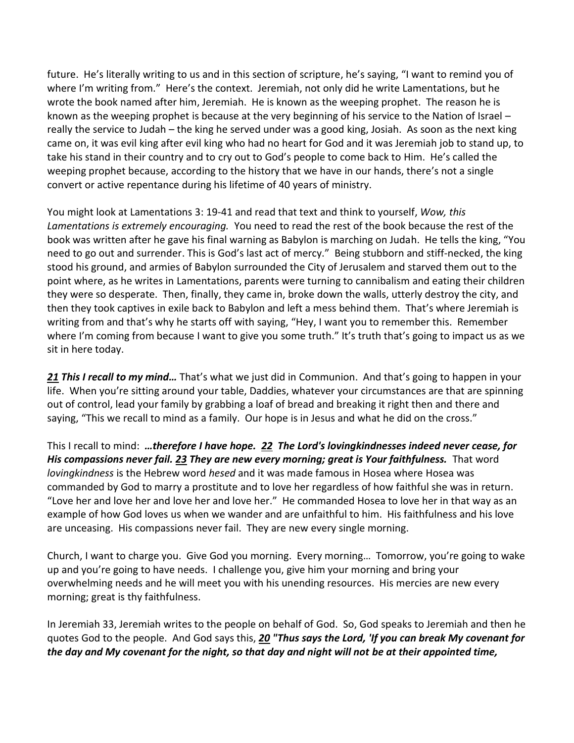future. He's literally writing to us and in this section of scripture, he's saying, "I want to remind you of where I'm writing from." Here's the context. Jeremiah, not only did he write Lamentations, but he wrote the book named after him, Jeremiah. He is known as the weeping prophet. The reason he is known as the weeping prophet is because at the very beginning of his service to the Nation of Israel – really the service to Judah – the king he served under was a good king, Josiah. As soon as the next king came on, it was evil king after evil king who had no heart for God and it was Jeremiah job to stand up, to take his stand in their country and to cry out to God's people to come back to Him. He's called the weeping prophet because, according to the history that we have in our hands, there's not a single convert or active repentance during his lifetime of 40 years of ministry.

You might look at Lamentations 3: 19-41 and read that text and think to yourself, *Wow, this Lamentations is extremely encouraging.* You need to read the rest of the book because the rest of the book was written after he gave his final warning as Babylon is marching on Judah. He tells the king, "You need to go out and surrender. This is God's last act of mercy." Being stubborn and stiff-necked, the king stood his ground, and armies of Babylon surrounded the City of Jerusalem and starved them out to the point where, as he writes in Lamentations, parents were turning to cannibalism and eating their children they were so desperate. Then, finally, they came in, broke down the walls, utterly destroy the city, and then they took captives in exile back to Babylon and left a mess behind them. That's where Jeremiah is writing from and that's why he starts off with saying, "Hey, I want you to remember this. Remember where I'm coming from because I want to give you some truth." It's truth that's going to impact us as we sit in here today.

*[21](https://www.studylight.org/desk/?q=la%203:21&t1=en_nas&sr=1) This I recall to my mind…* That's what we just did in Communion. And that's going to happen in your life. When you're sitting around your table, Daddies, whatever your circumstances are that are spinning out of control, lead your family by grabbing a loaf of bread and breaking it right then and there and saying, "This we recall to mind as a family. Our hope is in Jesus and what he did on the cross."

This I recall to mind: *…therefore I have hope. [22](https://www.studylight.org/desk/?q=la%203:22&t1=en_nas&sr=1) The Lord's lovingkindnesses indeed never cease, for His compassions never fail. [23](https://www.studylight.org/desk/?q=la%203:23&t1=en_nas&sr=1) They are new every morning; great is Your faithfulness.* That word *lovingkindness* is the Hebrew word *hesed* and it was made famous in Hosea where Hosea was commanded by God to marry a prostitute and to love her regardless of how faithful she was in return. "Love her and love her and love her and love her." He commanded Hosea to love her in that way as an example of how God loves us when we wander and are unfaithful to him. His faithfulness and his love are unceasing. His compassions never fail. They are new every single morning.

Church, I want to charge you. Give God you morning. Every morning… Tomorrow, you're going to wake up and you're going to have needs. I challenge you, give him your morning and bring your overwhelming needs and he will meet you with his unending resources. His mercies are new every morning; great is thy faithfulness.

In Jeremiah 33, Jeremiah writes to the people on behalf of God. So, God speaks to Jeremiah and then he quotes God to the people. And God says this, *[20](https://www.studylight.org/desk/?q=jer%2033:20&t1=en_nas&sr=1) "Thus says the Lord, 'If you can break My covenant for the day and My covenant for the night, so that day and night will not be at their appointed time,*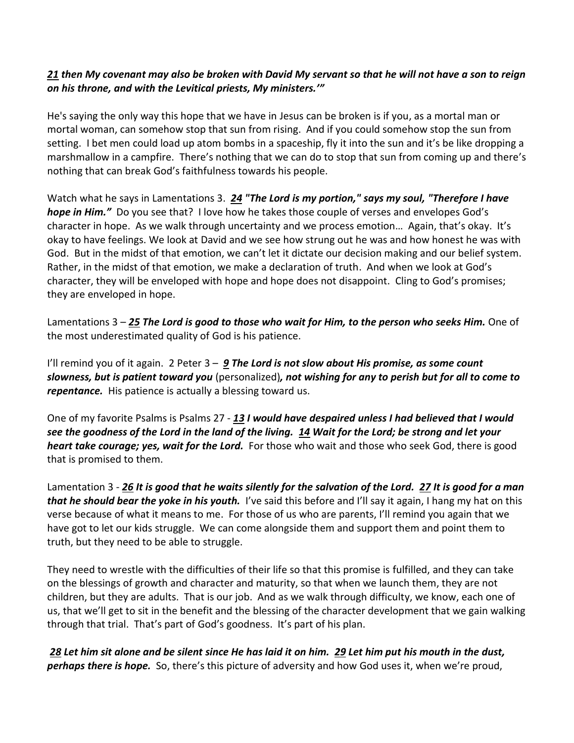### *[21](https://www.studylight.org/desk/?q=jer%2033:21&t1=en_nas&sr=1) then My covenant may also be broken with David My servant so that he will not have a son to reign on his throne, and with the Levitical priests, My ministers.'"*

He's saying the only way this hope that we have in Jesus can be broken is if you, as a mortal man or mortal woman, can somehow stop that sun from rising. And if you could somehow stop the sun from setting. I bet men could load up atom bombs in a spaceship, fly it into the sun and it's be like dropping a marshmallow in a campfire. There's nothing that we can do to stop that sun from coming up and there's nothing that can break God's faithfulness towards his people.

Watch what he says in Lamentations 3. *[24](https://www.studylight.org/desk/?q=la%203:24&t1=en_nas&sr=1) "The Lord is my portion," says my soul, "Therefore I have hope in Him."* Do you see that? I love how he takes those couple of verses and envelopes God's character in hope. As we walk through uncertainty and we process emotion… Again, that's okay. It's okay to have feelings. We look at David and we see how strung out he was and how honest he was with God. But in the midst of that emotion, we can't let it dictate our decision making and our belief system. Rather, in the midst of that emotion, we make a declaration of truth. And when we look at God's character, they will be enveloped with hope and hope does not disappoint. Cling to God's promises; they are enveloped in hope.

Lamentations 3 – *[25](https://www.studylight.org/desk/?q=la%203:25&t1=en_nas&sr=1) The Lord is good to those who wait for Him, to the person who seeks Him.* One of the most underestimated quality of God is his patience.

I'll remind you of it again. 2 Peter 3 – *[9](https://www.studylight.org/desk/?q=2pe%203:9&t1=en_nas&sr=1) The Lord is not slow about His promise, as some count slowness, but is patient toward you* (personalized)*, not wishing for any to perish but for all to come to repentance.* His patience is actually a blessing toward us.

One of my favorite Psalms is Psalms 27 - *[13](https://www.studylight.org/desk/?q=ps%2027:13&t1=en_nas&sr=1) I would have despaired unless I had believed that I would see the goodness of the Lord in the land of the living. [14](https://www.studylight.org/desk/?q=ps%2027:14&t1=en_nas&sr=1) Wait for the Lord; be strong and let your heart take courage; yes, wait for the Lord.* For those who wait and those who seek God, there is good that is promised to them.

Lamentation 3 - *[26](https://www.studylight.org/desk/?q=la%203:26&t1=en_nas&sr=1) It is good that he waits silently for the salvation of the Lord. [27](https://www.studylight.org/desk/?q=la%203:27&t1=en_nas&sr=1) It is good for a man that he should bear the yoke in his youth.* I've said this before and I'll say it again, I hang my hat on this verse because of what it means to me. For those of us who are parents, I'll remind you again that we have got to let our kids struggle. We can come alongside them and support them and point them to truth, but they need to be able to struggle.

They need to wrestle with the difficulties of their life so that this promise is fulfilled, and they can take on the blessings of growth and character and maturity, so that when we launch them, they are not children, but they are adults. That is our job. And as we walk through difficulty, we know, each one of us, that we'll get to sit in the benefit and the blessing of the character development that we gain walking through that trial. That's part of God's goodness. It's part of his plan.

*[28](https://www.studylight.org/desk/?q=la%203:28&t1=en_nas&sr=1) Let him sit alone and be silent since He has laid it on him. [29](https://www.studylight.org/desk/?q=la%203:29&t1=en_nas&sr=1) Let him put his mouth in the dust, perhaps there is hope.* So, there's this picture of adversity and how God uses it, when we're proud,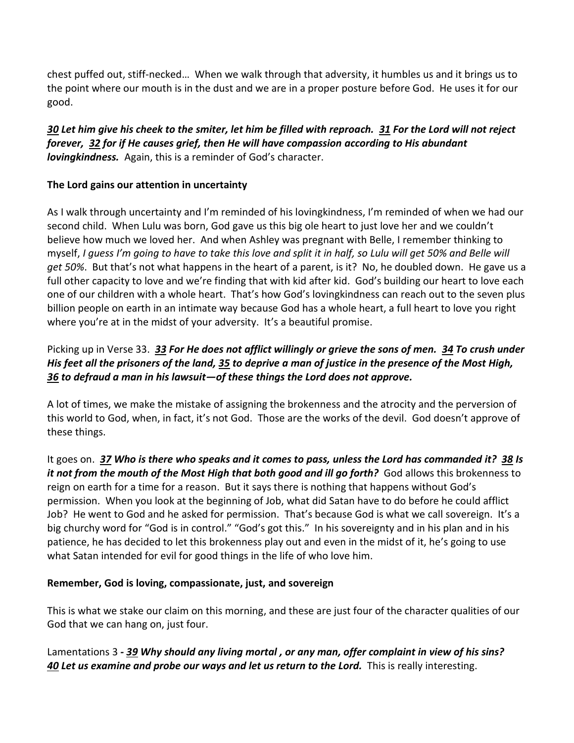chest puffed out, stiff-necked… When we walk through that adversity, it humbles us and it brings us to the point where our mouth is in the dust and we are in a proper posture before God. He uses it for our good.

*[30](https://www.studylight.org/desk/?q=la%203:30&t1=en_nas&sr=1) Let him give his cheek to the smiter, let him be filled with reproach. [31](https://www.studylight.org/desk/?q=la%203:31&t1=en_nas&sr=1) For the Lord will not reject forever, [32](https://www.studylight.org/desk/?q=la%203:32&t1=en_nas&sr=1) for if He causes grief, then He will have compassion according to His abundant lovingkindness.* Again, this is a reminder of God's character.

### **The Lord gains our attention in uncertainty**

As I walk through uncertainty and I'm reminded of his lovingkindness, I'm reminded of when we had our second child. When Lulu was born, God gave us this big ole heart to just love her and we couldn't believe how much we loved her. And when Ashley was pregnant with Belle, I remember thinking to myself, *I guess I'm going to have to take this love and split it in half, so Lulu will get 50% and Belle will get 50%*. But that's not what happens in the heart of a parent, is it? No, he doubled down. He gave us a full other capacity to love and we're finding that with kid after kid. God's building our heart to love each one of our children with a whole heart. That's how God's lovingkindness can reach out to the seven plus billion people on earth in an intimate way because God has a whole heart, a full heart to love you right where you're at in the midst of your adversity. It's a beautiful promise.

# Picking up in Verse 33. *[33](https://www.studylight.org/desk/?q=la%203:33&t1=en_nas&sr=1) For He does not afflict willingly or grieve the sons of men. [34](https://www.studylight.org/desk/?q=la%203:34&t1=en_nas&sr=1) To crush under His feet all the prisoners of the land, [35](https://www.studylight.org/desk/?q=la%203:35&t1=en_nas&sr=1) to deprive a man of justice in the presence of the Most High, [36](https://www.studylight.org/desk/?q=la%203:36&t1=en_nas&sr=1) to defraud a man in his lawsuit—of these things the Lord does not approve.*

A lot of times, we make the mistake of assigning the brokenness and the atrocity and the perversion of this world to God, when, in fact, it's not God. Those are the works of the devil. God doesn't approve of these things.

It goes on. [37](https://www.studylight.org/desk/?q=la%203:37&t1=en_nas&sr=1) Who is there who speaks and it comes to pass, unless the Lord has commanded it? [38](https://www.studylight.org/desk/?q=la%203:38&t1=en_nas&sr=1) Is *it not from the mouth of the Most High that both good and ill go forth?* God allows this brokenness to reign on earth for a time for a reason. But it says there is nothing that happens without God's permission. When you look at the beginning of Job, what did Satan have to do before he could afflict Job? He went to God and he asked for permission. That's because God is what we call sovereign. It's a big churchy word for "God is in control." "God's got this." In his sovereignty and in his plan and in his patience, he has decided to let this brokenness play out and even in the midst of it, he's going to use what Satan intended for evil for good things in the life of who love him.

# **Remember, God is loving, compassionate, just, and sovereign**

This is what we stake our claim on this morning, and these are just four of the character qualities of our God that we can hang on, just four.

### Lamentations 3 *- [39](https://www.studylight.org/desk/?q=la%203:39&t1=en_nas&sr=1) Why should any living mortal , or any man, offer complaint in view of his sins? [40](https://www.studylight.org/desk/?q=la%203:40&t1=en_nas&sr=1) Let us examine and probe our ways and let us return to the Lord.* This is really interesting.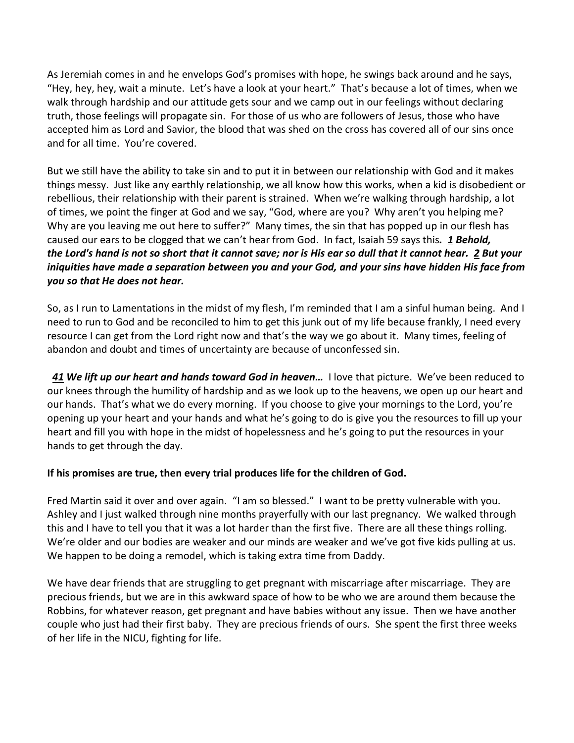As Jeremiah comes in and he envelops God's promises with hope, he swings back around and he says, "Hey, hey, hey, wait a minute. Let's have a look at your heart." That's because a lot of times, when we walk through hardship and our attitude gets sour and we camp out in our feelings without declaring truth, those feelings will propagate sin. For those of us who are followers of Jesus, those who have accepted him as Lord and Savior, the blood that was shed on the cross has covered all of our sins once and for all time. You're covered.

But we still have the ability to take sin and to put it in between our relationship with God and it makes things messy. Just like any earthly relationship, we all know how this works, when a kid is disobedient or rebellious, their relationship with their parent is strained. When we're walking through hardship, a lot of times, we point the finger at God and we say, "God, where are you? Why aren't you helping me? Why are you leaving me out here to suffer?" Many times, the sin that has popped up in our flesh has caused our ears to be clogged that we can't hear from God. In fact, Isaiah 59 says this*. [1](https://www.studylight.org/desk/?q=isa%2059:1&t1=en_nas&sr=1) Behold, the Lord's hand is not so short that it cannot save; nor is His ear so dull that it cannot hear. [2](https://www.studylight.org/desk/?q=isa%2059:2&t1=en_nas&sr=1) But your iniquities have made a separation between you and your God, and your sins have hidden His face from you so that He does not hear.*

So, as I run to Lamentations in the midst of my flesh, I'm reminded that I am a sinful human being. And I need to run to God and be reconciled to him to get this junk out of my life because frankly, I need every resource I can get from the Lord right now and that's the way we go about it. Many times, feeling of abandon and doubt and times of uncertainty are because of unconfessed sin.

 *[41](https://www.studylight.org/desk/?q=la%203:41&t1=en_nas&sr=1) We lift up our heart and hands toward God in heaven…* I love that picture. We've been reduced to our knees through the humility of hardship and as we look up to the heavens, we open up our heart and our hands. That's what we do every morning. If you choose to give your mornings to the Lord, you're opening up your heart and your hands and what he's going to do is give you the resources to fill up your heart and fill you with hope in the midst of hopelessness and he's going to put the resources in your hands to get through the day.

### **If his promises are true, then every trial produces life for the children of God.**

Fred Martin said it over and over again. "I am so blessed." I want to be pretty vulnerable with you. Ashley and I just walked through nine months prayerfully with our last pregnancy. We walked through this and I have to tell you that it was a lot harder than the first five. There are all these things rolling. We're older and our bodies are weaker and our minds are weaker and we've got five kids pulling at us. We happen to be doing a remodel, which is taking extra time from Daddy.

We have dear friends that are struggling to get pregnant with miscarriage after miscarriage. They are precious friends, but we are in this awkward space of how to be who we are around them because the Robbins, for whatever reason, get pregnant and have babies without any issue. Then we have another couple who just had their first baby. They are precious friends of ours. She spent the first three weeks of her life in the NICU, fighting for life.